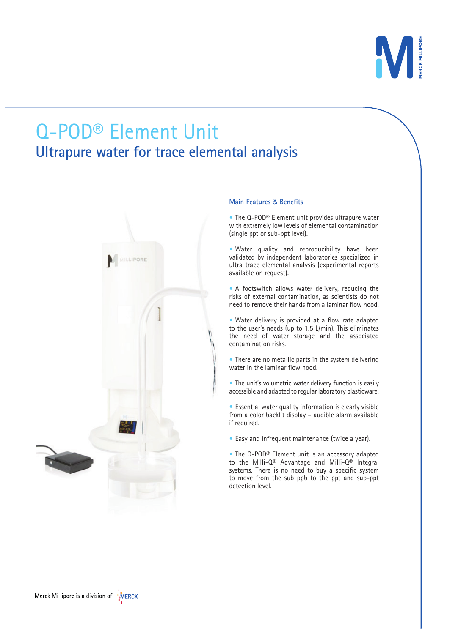

# Q-POD® Element Unit **Ultrapure water for trace elemental analysis**



# **Main Features** & **Benefits**

• The Q-POD<sup>®</sup> Element unit provides ultrapure water with extremely low levels of elemental contamination (single ppt or sub-ppt level).

• Water quality and reproducibility have been validated by independent laboratories specialized in ultra trace elemental analysis (experimental reports available on request).

• A footswitch allows water delivery, reducing the risks of external contamination, as scientists do not need to remove their hands from a laminar flow hood.

• Water delivery is provided at a flow rate adapted to the user's needs (up to 1.5 L/min). This eliminates the need of water storage and the associated contamination risks.

• There are no metallic parts in the system delivering water in the laminar flow hood.

• The unit's volumetric water delivery function is easily accessible and adapted to regular laboratory plasticware.

**•** Essential water quality information is clearly visible from a color backlit display – audible alarm available if required.

• Easy and infrequent maintenance (twice a year).

• The Q-POD® Element unit is an accessory adapted to the Milli-Q® Advantage and Milli-Q® Integral systems. There is no need to buy a specific system to move from the sub ppb to the ppt and sub-ppt detection level.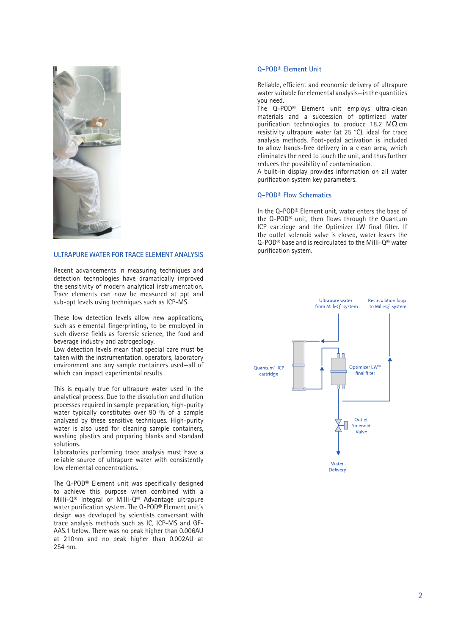

### **ULTRAPURE WATER FOR TRACE ELEMENT ANALYSIS**

Recent advancements in measuring techniques and detection technologies have dramatically improved the sensitivity of modern analytical instrumentation. Trace elements can now be measured at ppt and sub-ppt levels using techniques such as ICP-MS.

These low detection levels allow new applications, such as elemental fingerprinting, to be employed in such diverse fields as forensic science, the food and beverage industry and astrogeology.

Low detection levels mean that special care must be taken with the instrumentation, operators, laboratory environment and any sample containers used—all of which can impact experimental results.

This is equally true for ultrapure water used in the analytical process. Due to the dissolution and dilution processes required in sample preparation, high-purity water typically constitutes over 90 % of a sample analyzed by these sensitive techniques. High-purity water is also used for cleaning sample containers, washing plastics and preparing blanks and standard solutions.

Laboratories performing trace analysis must have a reliable source of ultrapure water with consistently low elemental concentrations.

The Q-POD® Element unit was specifically designed to achieve this purpose when combined with a Milli-Q® Integral or Milli-Q® Advantage ultrapure water purification system. The Q-POD® Element unit's design was developed by scientists conversant with trace analysis methods such as IC, ICP-MS and GF-AAS.1 below. There was no peak higher than 0.006AU at 210nm and no peak higher than 0.002AU at 254 nm.

#### **Q-POD® Element Unit**

Reliable, efficient and economic delivery of ultrapure water suitable for elemental analysis—in the quantities you need.

The Q-POD® Element unit employs ultra-clean materials and a succession of optimized water purification technologies to produce 18.2 MΩ.cm resistivity ultrapure water (at 25 °C), ideal for trace analysis methods. Foot-pedal activation is included to allow hands-free delivery in a clean area, which eliminates the need to touch the unit, and thus further reduces the possibility of contamination.

A built-in display provides information on all water purification system key parameters.

#### **Q-POD® Flow Schematics**

In the Q-POD® Element unit, water enters the base of the Q-POD® unit, then flows through the Quantum ICP cartridge and the Optimizer LW final filter. If the outlet solenoid valve is closed, water leaves the Q-POD® base and is recirculated to the Milli-Q® water purification system.

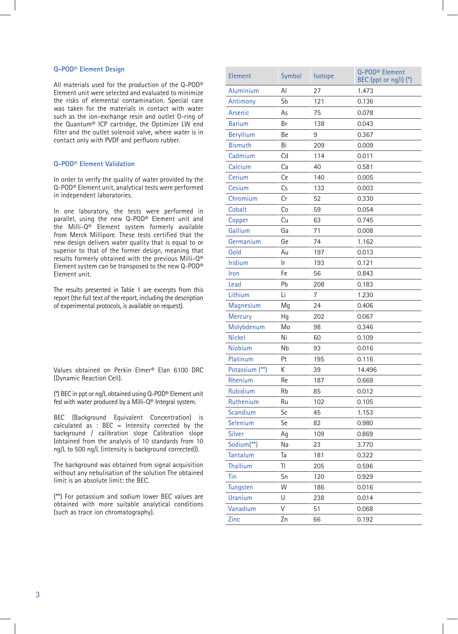#### **Q-POD® Element Design**

All materials used for the production of the Q-POD® Element unit were selected and evaluated to minimize the risks of elemental contamination. Special care was taken for the materials in contact with water such as the ion-exchange resin and outlet O-ring of the Quantum® ICP cartridge, the Optimizer LW end filter and the outlet solenoid valve, where water is in contact only with PVDF and perfluoro rubber.

## **Q-POD® Element Validation**

In order to verify the quality of water provided by the Q-POD® Element unit, analytical tests were performed in independent laboratories.

In one laboratory, the tests were performed in parallel, using the new Q-POD® Element unit and the Milli-Q® Element system formerly available from Merck Millipore. These tests certified that the new design delivers water quality that is equal to or superior to that of the former design, meaning that results formerly obtained with the previous Milli-Q® Element system can be transposed to the new Q-POD® Element unit.

The results presented in Table 1 are excerpts from this report (the full text of the report, including the description of experimental protocols, is available on request).

Values obtained on Perkin Elmer® Elan 6100 DRC (Dynamic Reaction Cell).

(\*) BEC in ppt or ng/L obtained using Q-POD® Element unit fed with water produced by a Milli-Q® Integral system.

BEC (Background Equivalent Concentration) is calculated as : BEC = Intensity corrected by the background / calibration slope Calibration slope (obtained from the analysis of 10 standards from 10 ng/L to 500 ng/L (intensity is background corrected)).

The background was obtained from signal acquisition without any nebulisation of the solution The obtained limit is an absolute limit: the BEC.

(\*\*) For potassium and sodium lower BEC values are obtained with more suitable analytical conditions (such as trace ion chromatography).

| Element                | Symbol | Isotope | Q-POD <sup>®</sup> Element<br>BEC (ppt or ng/l) (*) |
|------------------------|--------|---------|-----------------------------------------------------|
| Aluminium              | Al     | 27      | 1.473                                               |
| Antimony               | Sb     | 121     | 0.136                                               |
| Arsenic                | As     | 75      | 0.078                                               |
| <b>Barium</b>          | Br     | 138     | 0.043                                               |
| <b>Beryllium</b>       | Be     | 9       | 0.367                                               |
| <b>Bismuth</b>         | Bi     | 209     | 0.009                                               |
| Cadmium                | Cd     | 114     | 0.011                                               |
| Calcium                | Ca     | 40      | 0.581                                               |
| Cerium                 | Ce     | 140     | 0.005                                               |
| Cesium                 | Cs     | 133     | 0.003                                               |
| Chromium               | Cr     | 52      | 0.330                                               |
| Cobalt                 | Co     | 59      | 0.054                                               |
| Copper                 | Cu     | 63      | 0.745                                               |
| Gallium                | Ga     | 71      | 0.008                                               |
| Germanium              | Ge     | 74      | 1.162                                               |
| Gold                   | Au     | 197     | 0.013                                               |
| <b>Iridium</b>         | Ir     | 193     | 0.121                                               |
| Iron                   | Fe     | 56      | 0.843                                               |
| Lead                   | Pb     | 208     | 0.183                                               |
| Lithium                | Li     | 7       | 1.230                                               |
| Magnesium              | Mg     | 24      | 0.406                                               |
| <b>Mercury</b>         | Нg     | 202     | 0.067                                               |
| Molybdenum             | Mo     | 98      | 0.346                                               |
| <b>Nickel</b>          | Ni     | 60      | 0.109                                               |
| Niobium                | Nb     | 93      | 0.016                                               |
| Platinum               | Pt     | 195     | 0.116                                               |
| Potassium (**)         | K      | 39      | 14.496                                              |
| Rhenium                | Re     | 187     | 0.669                                               |
| Rubidium               | Rb     | 85      | 0.012                                               |
| Ruthenium              | Ru     | 102     | 0.105                                               |
| Scandium               | Sc     | 45      | 1.153                                               |
| Selenium               | Se     | 82      | 0.980                                               |
| Silver                 | Ag     | 109     | 0.869                                               |
| Sodium <sup>(**)</sup> | Na     | 23      | 3.770                                               |
| Tantalum               | Ta     | 181     | 0.322                                               |
| <b>Thallium</b>        | TI     | 205     | 0.596                                               |
| Tin                    | Sn     | 120     | 0.929                                               |
| Tungsten               | W      | 186     | 0.016                                               |
| <b>Uranium</b>         | U      | 238     | 0.014                                               |
| Vanadium               | V      | 51      | 0.068                                               |
| Zinc                   | Zn     | 66      | 0.192                                               |